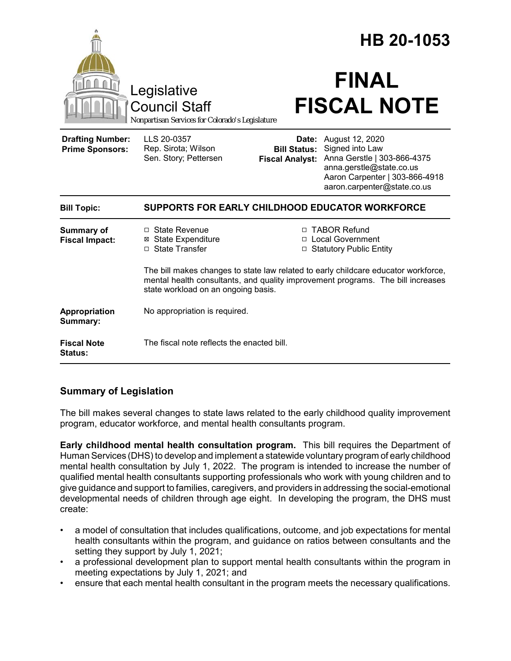| Legislative<br><b>Council Staff</b>               |                                                                                                                | HB 20-1053<br><b>FINAL</b><br><b>FISCAL NOTE</b> |                                                                                                                                                                                                                                            |  |
|---------------------------------------------------|----------------------------------------------------------------------------------------------------------------|--------------------------------------------------|--------------------------------------------------------------------------------------------------------------------------------------------------------------------------------------------------------------------------------------------|--|
| <b>Drafting Number:</b><br><b>Prime Sponsors:</b> | Nonpartisan Services for Colorado's Legislature<br>LLS 20-0357<br>Rep. Sirota; Wilson<br>Sen. Story; Pettersen | <b>Bill Status:</b><br><b>Fiscal Analyst:</b>    | <b>Date:</b> August 12, 2020<br>Signed into Law<br>Anna Gerstle   303-866-4375<br>anna.gerstle@state.co.us<br>Aaron Carpenter   303-866-4918<br>aaron.carpenter@state.co.us                                                                |  |
| <b>Bill Topic:</b>                                | SUPPORTS FOR EARLY CHILDHOOD EDUCATOR WORKFORCE                                                                |                                                  |                                                                                                                                                                                                                                            |  |
| <b>Summary of</b><br><b>Fiscal Impact:</b>        | □ State Revenue<br><b>⊠</b> State Expenditure<br>□ State Transfer                                              |                                                  | □ TABOR Refund<br>□ Local Government<br>□ Statutory Public Entity<br>The bill makes changes to state law related to early childcare educator workforce,<br>mental health consultants, and quality improvement programs. The bill increases |  |
|                                                   | state workload on an ongoing basis.                                                                            |                                                  |                                                                                                                                                                                                                                            |  |
| Appropriation<br>Summary:                         | No appropriation is required.                                                                                  |                                                  |                                                                                                                                                                                                                                            |  |
| <b>Fiscal Note</b><br>Status:                     | The fiscal note reflects the enacted bill.                                                                     |                                                  |                                                                                                                                                                                                                                            |  |

# **Summary of Legislation**

The bill makes several changes to state laws related to the early childhood quality improvement program, educator workforce, and mental health consultants program.

**Early childhood mental health consultation program.** This bill requires the Department of Human Services (DHS) to develop and implement a statewide voluntary program of early childhood mental health consultation by July 1, 2022. The program is intended to increase the number of qualified mental health consultants supporting professionals who work with young children and to give guidance and support to families, caregivers, and providers in addressing the social-emotional developmental needs of children through age eight. In developing the program, the DHS must create:

- a model of consultation that includes qualifications, outcome, and job expectations for mental health consultants within the program, and guidance on ratios between consultants and the setting they support by July 1, 2021;
- a professional development plan to support mental health consultants within the program in meeting expectations by July 1, 2021; and
- ensure that each mental health consultant in the program meets the necessary qualifications.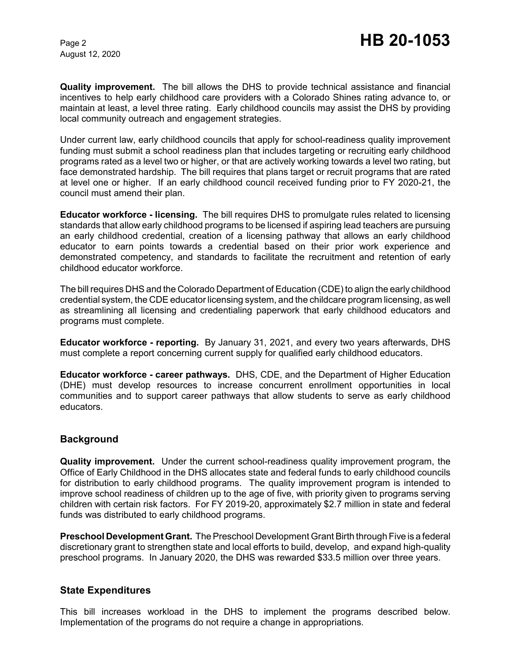August 12, 2020

**Quality improvement.** The bill allows the DHS to provide technical assistance and financial incentives to help early childhood care providers with a Colorado Shines rating advance to, or maintain at least, a level three rating. Early childhood councils may assist the DHS by providing local community outreach and engagement strategies.

Under current law, early childhood councils that apply for school-readiness quality improvement funding must submit a school readiness plan that includes targeting or recruiting early childhood programs rated as a level two or higher, or that are actively working towards a level two rating, but face demonstrated hardship. The bill requires that plans target or recruit programs that are rated at level one or higher. If an early childhood council received funding prior to FY 2020-21, the council must amend their plan.

**Educator workforce - licensing.** The bill requires DHS to promulgate rules related to licensing standards that allow early childhood programs to be licensed if aspiring lead teachers are pursuing an early childhood credential, creation of a licensing pathway that allows an early childhood educator to earn points towards a credential based on their prior work experience and demonstrated competency, and standards to facilitate the recruitment and retention of early childhood educator workforce.

The bill requires DHS and the Colorado Department of Education (CDE) to align the early childhood credential system, the CDE educator licensing system, and the childcare program licensing, as well as streamlining all licensing and credentialing paperwork that early childhood educators and programs must complete.

**Educator workforce - reporting.** By January 31, 2021, and every two years afterwards, DHS must complete a report concerning current supply for qualified early childhood educators.

**Educator workforce - career pathways.** DHS, CDE, and the Department of Higher Education (DHE) must develop resources to increase concurrent enrollment opportunities in local communities and to support career pathways that allow students to serve as early childhood educators.

## **Background**

**Quality improvement.** Under the current school-readiness quality improvement program, the Office of Early Childhood in the DHS allocates state and federal funds to early childhood councils for distribution to early childhood programs. The quality improvement program is intended to improve school readiness of children up to the age of five, with priority given to programs serving children with certain risk factors. For FY 2019-20, approximately \$2.7 million in state and federal funds was distributed to early childhood programs.

**Preschool Development Grant.** The Preschool Development Grant Birth through Five is a federal discretionary grant to strengthen state and local efforts to build, develop, and expand high-quality preschool programs. In January 2020, the DHS was rewarded \$33.5 million over three years.

### **State Expenditures**

This bill increases workload in the DHS to implement the programs described below. Implementation of the programs do not require a change in appropriations.